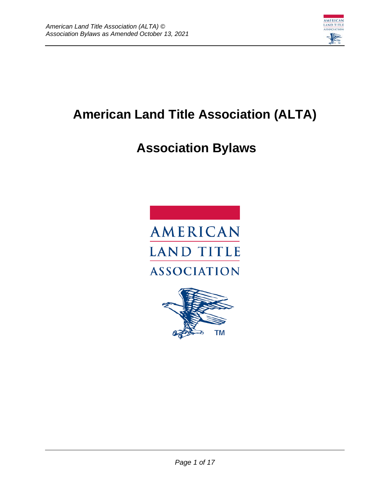

# **American Land Title Association (ALTA)**

# **Association Bylaws**



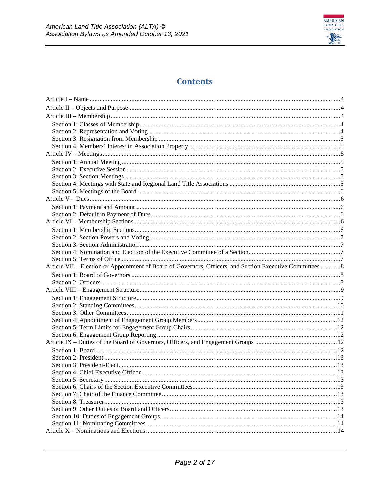

### **Contents**

| Article VII – Election or Appointment of Board of Governors, Officers, and Section Executive Committees 8 |  |
|-----------------------------------------------------------------------------------------------------------|--|
|                                                                                                           |  |
|                                                                                                           |  |
|                                                                                                           |  |
|                                                                                                           |  |
|                                                                                                           |  |
|                                                                                                           |  |
|                                                                                                           |  |
|                                                                                                           |  |
|                                                                                                           |  |
|                                                                                                           |  |
|                                                                                                           |  |
|                                                                                                           |  |
|                                                                                                           |  |
|                                                                                                           |  |
|                                                                                                           |  |
|                                                                                                           |  |
|                                                                                                           |  |
|                                                                                                           |  |
|                                                                                                           |  |
|                                                                                                           |  |
|                                                                                                           |  |
|                                                                                                           |  |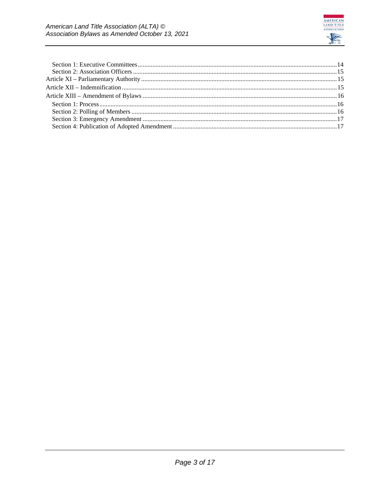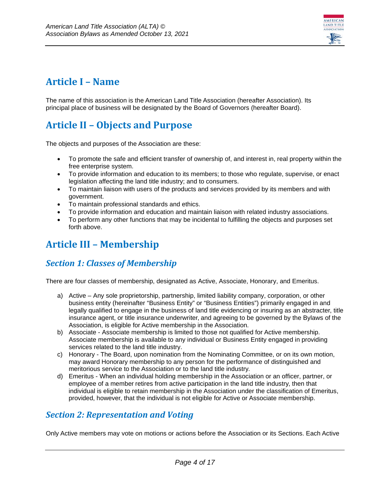

# <span id="page-3-0"></span>**Article I – Name**

The name of this association is the American Land Title Association (hereafter Association). Its principal place of business will be designated by the Board of Governors (hereafter Board).

# <span id="page-3-1"></span>**Article II – Objects and Purpose**

The objects and purposes of the Association are these:

- To promote the safe and efficient transfer of ownership of, and interest in, real property within the free enterprise system.
- To provide information and education to its members; to those who regulate, supervise, or enact legislation affecting the land title industry; and to consumers.
- To maintain liaison with users of the products and services provided by its members and with government.
- To maintain professional standards and ethics.
- To provide information and education and maintain liaison with related industry associations.
- To perform any other functions that may be incidental to fulfilling the objects and purposes set forth above.

### <span id="page-3-2"></span>**Article III – Membership**

### <span id="page-3-3"></span>*Section 1: Classes of Membership*

There are four classes of membership, designated as Active, Associate, Honorary, and Emeritus.

- a) Active Any sole proprietorship, partnership, limited liability company, corporation, or other business entity (hereinafter "Business Entity" or "Business Entities") primarily engaged in and legally qualified to engage in the business of land title evidencing or insuring as an abstracter, title insurance agent, or title insurance underwriter, and agreeing to be governed by the Bylaws of the Association, is eligible for Active membership in the Association.
- b) Associate Associate membership is limited to those not qualified for Active membership. Associate membership is available to any individual or Business Entity engaged in providing services related to the land title industry.
- c) Honorary The Board, upon nomination from the Nominating Committee, or on its own motion, may award Honorary membership to any person for the performance of distinguished and meritorious service to the Association or to the land title industry.
- d) Emeritus When an individual holding membership in the Association or an officer, partner, or employee of a member retires from active participation in the land title industry, then that individual is eligible to retain membership in the Association under the classification of Emeritus, provided, however, that the individual is not eligible for Active or Associate membership.

### <span id="page-3-4"></span>*Section 2: Representation and Voting*

Only Active members may vote on motions or actions before the Association or its Sections. Each Active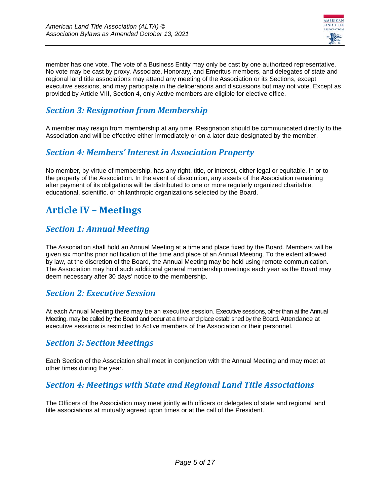

member has one vote. The vote of a Business Entity may only be cast by one authorized representative. No vote may be cast by proxy. Associate, Honorary, and Emeritus members, and delegates of state and regional land title associations may attend any meeting of the Association or its Sections, except executive sessions, and may participate in the deliberations and discussions but may not vote. Except as provided by Article VIII, Section 4, only Active members are eligible for elective office.

### <span id="page-4-0"></span>*Section 3: Resignation from Membership*

A member may resign from membership at any time. Resignation should be communicated directly to the Association and will be effective either immediately or on a later date designated by the member.

#### <span id="page-4-1"></span>*Section 4: Members' Interest in Association Property*

No member, by virtue of membership, has any right, title, or interest, either legal or equitable, in or to the property of the Association. In the event of dissolution, any assets of the Association remaining after payment of its obligations will be distributed to one or more regularly organized charitable, educational, scientific, or philanthropic organizations selected by the Board.

# <span id="page-4-2"></span>**Article IV – Meetings**

#### <span id="page-4-3"></span>*Section 1: Annual Meeting*

The Association shall hold an Annual Meeting at a time and place fixed by the Board. Members will be given six months prior notification of the time and place of an Annual Meeting. To the extent allowed by law, at the discretion of the Board, the Annual Meeting may be held using remote communication. The Association may hold such additional general membership meetings each year as the Board may deem necessary after 30 days' notice to the membership.

#### <span id="page-4-4"></span>*Section 2: Executive Session*

At each Annual Meeting there may be an executive session. Executive sessions, other than at the Annual Meeting, may be called by the Board and occur at a time and place established by the Board. Attendance at executive sessions is restricted to Active members of the Association or their personnel.

#### <span id="page-4-5"></span>*Section 3: Section Meetings*

Each Section of the Association shall meet in conjunction with the Annual Meeting and may meet at other times during the year.

#### <span id="page-4-6"></span>*Section 4: Meetings with State and Regional Land Title Associations*

The Officers of the Association may meet jointly with officers or delegates of state and regional land title associations at mutually agreed upon times or at the call of the President.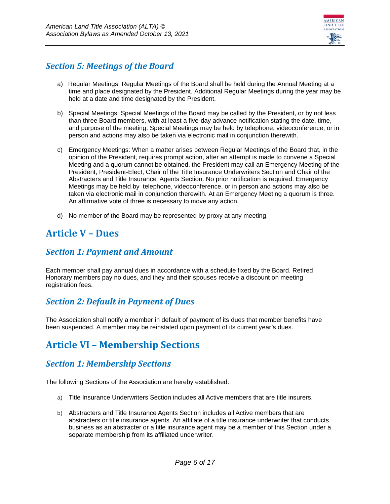

#### <span id="page-5-0"></span>*Section 5: Meetings of the Board*

- a) Regular Meetings: Regular Meetings of the Board shall be held during the Annual Meeting at a time and place designated by the President. Additional Regular Meetings during the year may be held at a date and time designated by the President.
- b) Special Meetings: Special Meetings of the Board may be called by the President, or by not less than three Board members, with at least a five-day advance notification stating the date, time, and purpose of the meeting. Special Meetings may be held by telephone, videoconference, or in person and actions may also be taken via electronic mail in conjunction therewith.
- c) Emergency Meetings: When a matter arises between Regular Meetings of the Board that, in the opinion of the President, requires prompt action, after an attempt is made to convene a Special Meeting and a quorum cannot be obtained, the President may call an Emergency Meeting of the President, President-Elect, Chair of the Title Insurance Underwriters Section and Chair of the Abstracters and Title Insurance Agents Section. No prior notification is required. Emergency Meetings may be held by telephone, videoconference, or in person and actions may also be taken via electronic mail in conjunction therewith. At an Emergency Meeting a quorum is three. An affirmative vote of three is necessary to move any action.
- d) No member of the Board may be represented by proxy at any meeting.

### <span id="page-5-1"></span>**Article V – Dues**

#### <span id="page-5-2"></span>*Section 1: Payment and Amount*

Each member shall pay annual dues in accordance with a schedule fixed by the Board. Retired Honorary members pay no dues, and they and their spouses receive a discount on meeting registration fees.

#### <span id="page-5-3"></span>*Section 2: Default in Payment of Dues*

The Association shall notify a member in default of payment of its dues that member benefits have been suspended. A member may be reinstated upon payment of its current year's dues.

### <span id="page-5-4"></span>**Article VI – Membership Sections**

#### <span id="page-5-5"></span>*Section 1: Membership Sections*

The following Sections of the Association are hereby established:

- a) Title Insurance Underwriters Section includes all Active members that are title insurers.
- b) Abstracters and Title Insurance Agents Section includes all Active members that are abstracters or title insurance agents. An affiliate of a title insurance underwriter that conducts business as an abstracter or a title insurance agent may be a member of this Section under a separate membership from its affiliated underwriter.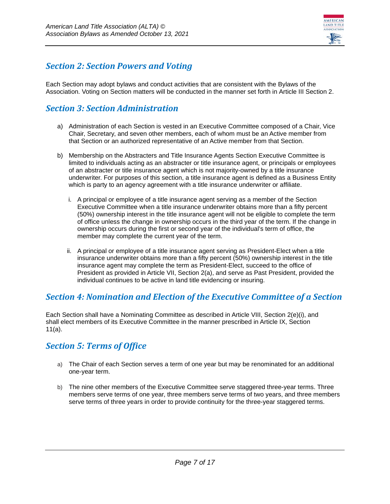

#### <span id="page-6-0"></span>*Section 2: Section Powers and Voting*

Each Section may adopt bylaws and conduct activities that are consistent with the Bylaws of the Association. Voting on Section matters will be conducted in the manner set forth in Article III Section 2.

#### <span id="page-6-1"></span>*Section 3: Section Administration*

- a) Administration of each Section is vested in an Executive Committee composed of a Chair, Vice Chair, Secretary, and seven other members, each of whom must be an Active member from that Section or an authorized representative of an Active member from that Section.
- b) Membership on the Abstracters and Title Insurance Agents Section Executive Committee is limited to individuals acting as an abstracter or title insurance agent, or principals or employees of an abstracter or title insurance agent which is not majority-owned by a title insurance underwriter. For purposes of this section, a title insurance agent is defined as a Business Entity which is party to an agency agreement with a title insurance underwriter or affiliate.
	- i. A principal or employee of a title insurance agent serving as a member of the Section Executive Committee when a title insurance underwriter obtains more than a fifty percent (50%) ownership interest in the title insurance agent will not be eligible to complete the term of office unless the change in ownership occurs in the third year of the term. If the change in ownership occurs during the first or second year of the individual's term of office, the member may complete the current year of the term.
	- ii. A principal or employee of a title insurance agent serving as President-Elect when a title insurance underwriter obtains more than a fifty percent (50%) ownership interest in the title insurance agent may complete the term as President-Elect, succeed to the office of President as provided in Article VII, Section 2(a), and serve as Past President, provided the individual continues to be active in land title evidencing or insuring.

#### <span id="page-6-2"></span>*Section 4: Nomination and Election of the Executive Committee of a Section*

Each Section shall have a Nominating Committee as described in Article VIII, Section 2(e)(i), and shall elect members of its Executive Committee in the manner prescribed in Article IX, Section 11(a).

#### <span id="page-6-3"></span>*Section 5: Terms of Office*

- a) The Chair of each Section serves a term of one year but may be renominated for an additional one-year term.
- b) The nine other members of the Executive Committee serve staggered three-year terms. Three members serve terms of one year, three members serve terms of two years, and three members serve terms of three years in order to provide continuity for the three-year staggered terms.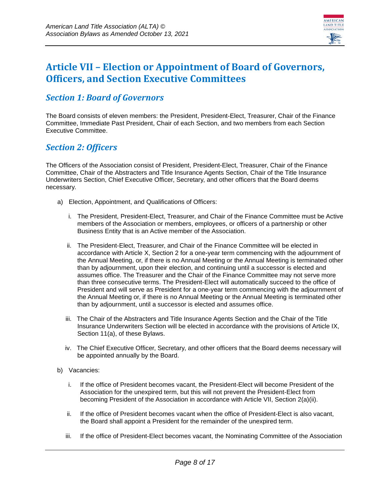

### <span id="page-7-0"></span>**Article VII – Election or Appointment of Board of Governors, Officers, and Section Executive Committees**

#### <span id="page-7-1"></span>*Section 1: Board of Governors*

The Board consists of eleven members: the President, President-Elect, Treasurer, Chair of the Finance Committee, Immediate Past President, Chair of each Section, and two members from each Section Executive Committee.

#### <span id="page-7-2"></span>*Section 2: Officers*

The Officers of the Association consist of President, President-Elect, Treasurer, Chair of the Finance Committee, Chair of the Abstracters and Title Insurance Agents Section, Chair of the Title Insurance Underwriters Section, Chief Executive Officer, Secretary, and other officers that the Board deems necessary.

- a) Election, Appointment, and Qualifications of Officers:
	- i. The President, President-Elect, Treasurer, and Chair of the Finance Committee must be Active members of the Association or members, employees, or officers of a partnership or other Business Entity that is an Active member of the Association.
	- ii. The President-Elect, Treasurer, and Chair of the Finance Committee will be elected in accordance with Article X, Section 2 for a one-year term commencing with the adjournment of the Annual Meeting, or, if there is no Annual Meeting or the Annual Meeting is terminated other than by adjournment, upon their election, and continuing until a successor is elected and assumes office. The Treasurer and the Chair of the Finance Committee may not serve more than three consecutive terms. The President-Elect will automatically succeed to the office of President and will serve as President for a one-year term commencing with the adjournment of the Annual Meeting or, if there is no Annual Meeting or the Annual Meeting is terminated other than by adjournment, until a successor is elected and assumes office.
	- iii. The Chair of the Abstracters and Title Insurance Agents Section and the Chair of the Title Insurance Underwriters Section will be elected in accordance with the provisions of Article IX, Section 11(a), of these Bylaws.
	- iv. The Chief Executive Officer, Secretary, and other officers that the Board deems necessary will be appointed annually by the Board.
- b) Vacancies:
	- i. If the office of President becomes vacant, the President-Elect will become President of the Association for the unexpired term, but this will not prevent the President-Elect from becoming President of the Association in accordance with Article VII, Section 2(a)(ii).
	- ii. If the office of President becomes vacant when the office of President-Elect is also vacant, the Board shall appoint a President for the remainder of the unexpired term.
	- iii. If the office of President-Elect becomes vacant, the Nominating Committee of the Association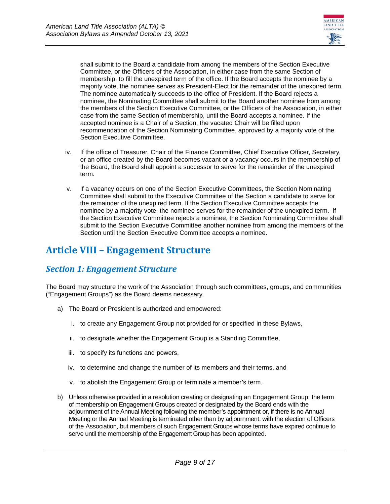

shall submit to the Board a candidate from among the members of the Section Executive Committee, or the Officers of the Association, in either case from the same Section of membership, to fill the unexpired term of the office. If the Board accepts the nominee by a majority vote, the nominee serves as President-Elect for the remainder of the unexpired term. The nominee automatically succeeds to the office of President. If the Board rejects a nominee, the Nominating Committee shall submit to the Board another nominee from among the members of the Section Executive Committee, or the Officers of the Association, in either case from the same Section of membership, until the Board accepts a nominee. If the accepted nominee is a Chair of a Section, the vacated Chair will be filled upon recommendation of the Section Nominating Committee, approved by a majority vote of the Section Executive Committee.

- iv. If the office of Treasurer, Chair of the Finance Committee, Chief Executive Officer, Secretary, or an office created by the Board becomes vacant or a vacancy occurs in the membership of the Board, the Board shall appoint a successor to serve for the remainder of the unexpired term.
- v. If a vacancy occurs on one of the Section Executive Committees, the Section Nominating Committee shall submit to the Executive Committee of the Section a candidate to serve for the remainder of the unexpired term. If the Section Executive Committee accepts the nominee by a majority vote, the nominee serves for the remainder of the unexpired term. If the Section Executive Committee rejects a nominee, the Section Nominating Committee shall submit to the Section Executive Committee another nominee from among the members of the Section until the Section Executive Committee accepts a nominee.

### <span id="page-8-0"></span>**Article VIII – Engagement Structure**

#### <span id="page-8-1"></span>*Section 1: Engagement Structure*

The Board may structure the work of the Association through such committees, groups, and communities ("Engagement Groups") as the Board deems necessary.

- a) The Board or President is authorized and empowered:
	- i. to create any Engagement Group not provided for or specified in these Bylaws,
	- ii. to designate whether the Engagement Group is a Standing Committee,
	- iii. to specify its functions and powers,
	- iv. to determine and change the number of its members and their terms, and
	- v. to abolish the Engagement Group or terminate a member's term.
- b) Unless otherwise provided in a resolution creating or designating an Engagement Group, the term of membership on Engagement Groups created or designated by the Board ends with the adjournment of the Annual Meeting following the member's appointment or, if there is no Annual Meeting or the Annual Meeting is terminated other than by adjournment, with the election of Officers of the Association, but members of such Engagement Groups whose terms have expired continue to serve until the membership of the Engagement Group has been appointed.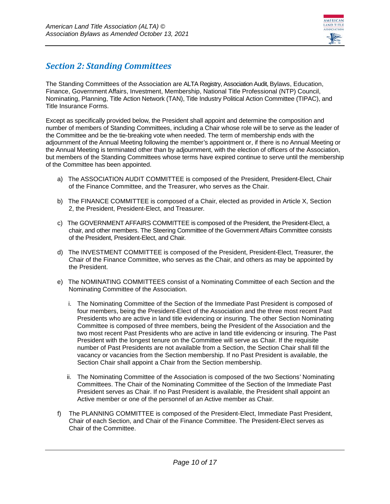

#### <span id="page-9-0"></span>*Section 2: Standing Committees*

The Standing Committees of the Association are ALTA Registry, Association Audit, Bylaws, Education, Finance, Government Affairs, Investment, Membership, National Title Professional (NTP) Council, Nominating, Planning, Title Action Network (TAN), Title Industry Political Action Committee (TIPAC), and Title Insurance Forms.

Except as specifically provided below, the President shall appoint and determine the composition and number of members of Standing Committees, including a Chair whose role will be to serve as the leader of the Committee and be the tie-breaking vote when needed. The term of membership ends with the adjournment of the Annual Meeting following the member's appointment or, if there is no Annual Meeting or the Annual Meeting is terminated other than by adjournment, with the election of officers of the Association, but members of the Standing Committees whose terms have expired continue to serve until the membership of the Committee has been appointed.

- a) The ASSOCIATION AUDIT COMMITTEE is composed of the President, President-Elect, Chair of the Finance Committee, and the Treasurer, who serves as the Chair.
- b) The FINANCE COMMITTEE is composed of a Chair, elected as provided in Article X, Section 2, the President, President-Elect, and Treasurer.
- c) The GOVERNMENT AFFAIRS COMMITTEE is composed of the President, the President-Elect, a chair, and other members. The Steering Committee of the Government Affairs Committee consists of the President, President-Elect, and Chair.
- d) The INVESTMENT COMMITTEE is composed of the President, President-Elect, Treasurer, the Chair of the Finance Committee, who serves as the Chair, and others as may be appointed by the President.
- e) The NOMINATING COMMITTEES consist of a Nominating Committee of each Section and the Nominating Committee of the Association.
	- i. The Nominating Committee of the Section of the Immediate Past President is composed of four members, being the President-Elect of the Association and the three most recent Past Presidents who are active in land title evidencing or insuring. The other Section Nominating Committee is composed of three members, being the President of the Association and the two most recent Past Presidents who are active in land title evidencing or insuring. The Past President with the longest tenure on the Committee will serve as Chair. If the requisite number of Past Presidents are not available from a Section, the Section Chair shall fill the vacancy or vacancies from the Section membership. If no Past President is available, the Section Chair shall appoint a Chair from the Section membership.
	- ii. The Nominating Committee of the Association is composed of the two Sections' Nominating Committees. The Chair of the Nominating Committee of the Section of the Immediate Past President serves as Chair. If no Past President is available, the President shall appoint an Active member or one of the personnel of an Active member as Chair.
- f) The PLANNING COMMITTEE is composed of the President-Elect, Immediate Past President, Chair of each Section, and Chair of the Finance Committee. The President-Elect serves as Chair of the Committee.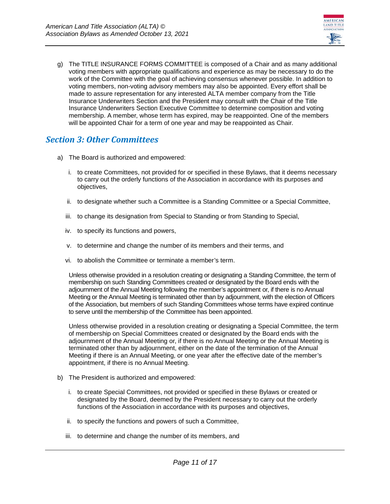

g) The TITLE INSURANCE FORMS COMMITTEE is composed of a Chair and as many additional voting members with appropriate qualifications and experience as may be necessary to do the work of the Committee with the goal of achieving consensus whenever possible. In addition to voting members, non-voting advisory members may also be appointed. Every effort shall be made to assure representation for any interested ALTA member company from the Title Insurance Underwriters Section and the President may consult with the Chair of the Title Insurance Underwriters Section Executive Committee to determine composition and voting membership. A member, whose term has expired, may be reappointed. One of the members will be appointed Chair for a term of one year and may be reappointed as Chair.

#### <span id="page-10-0"></span>*Section 3: Other Committees*

- a) The Board is authorized and empowered:
	- i. to create Committees, not provided for or specified in these Bylaws, that it deems necessary to carry out the orderly functions of the Association in accordance with its purposes and objectives,
	- ii. to designate whether such a Committee is a Standing Committee or a Special Committee,
	- iii. to change its designation from Special to Standing or from Standing to Special,
	- iv. to specify its functions and powers,
	- v. to determine and change the number of its members and their terms, and
	- vi. to abolish the Committee or terminate a member's term.

Unless otherwise provided in a resolution creating or designating a Standing Committee, the term of membership on such Standing Committees created or designated by the Board ends with the adjournment of the Annual Meeting following the member's appointment or, if there is no Annual Meeting or the Annual Meeting is terminated other than by adjournment, with the election of Officers of the Association, but members of such Standing Committees whose terms have expired continue to serve until the membership of the Committee has been appointed.

Unless otherwise provided in a resolution creating or designating a Special Committee, the term of membership on Special Committees created or designated by the Board ends with the adjournment of the Annual Meeting or, if there is no Annual Meeting or the Annual Meeting is terminated other than by adjournment, either on the date of the termination of the Annual Meeting if there is an Annual Meeting, or one year after the effective date of the member's appointment, if there is no Annual Meeting.

- b) The President is authorized and empowered:
	- i. to create Special Committees, not provided or specified in these Bylaws or created or designated by the Board, deemed by the President necessary to carry out the orderly functions of the Association in accordance with its purposes and objectives,
	- ii. to specify the functions and powers of such a Committee,
	- iii. to determine and change the number of its members, and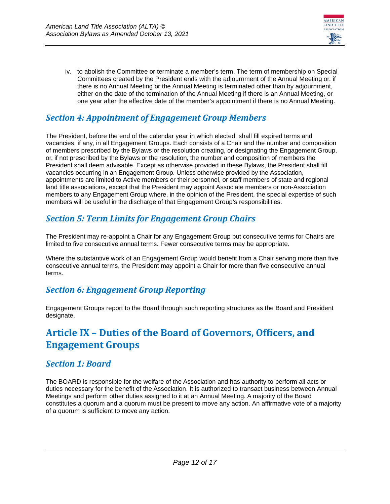

iv. to abolish the Committee or terminate a member's term. The term of membership on Special Committees created by the President ends with the adjournment of the Annual Meeting or, if there is no Annual Meeting or the Annual Meeting is terminated other than by adjournment, either on the date of the termination of the Annual Meeting if there is an Annual Meeting, or one year after the effective date of the member's appointment if there is no Annual Meeting.

### <span id="page-11-0"></span>*Section 4: Appointment of Engagement Group Members*

The President, before the end of the calendar year in which elected, shall fill expired terms and vacancies, if any, in all Engagement Groups. Each consists of a Chair and the number and composition of members prescribed by the Bylaws or the resolution creating, or designating the Engagement Group, or, if not prescribed by the Bylaws or the resolution, the number and composition of members the President shall deem advisable. Except as otherwise provided in these Bylaws, the President shall fill vacancies occurring in an Engagement Group. Unless otherwise provided by the Association, appointments are limited to Active members or their personnel, or staff members of state and regional land title associations, except that the President may appoint Associate members or non-Association members to any Engagement Group where, in the opinion of the President, the special expertise of such members will be useful in the discharge of that Engagement Group's responsibilities.

#### <span id="page-11-1"></span>*Section 5: Term Limits for Engagement Group Chairs*

The President may re-appoint a Chair for any Engagement Group but consecutive terms for Chairs are limited to five consecutive annual terms. Fewer consecutive terms may be appropriate.

Where the substantive work of an Engagement Group would benefit from a Chair serving more than five consecutive annual terms, the President may appoint a Chair for more than five consecutive annual terms.

#### <span id="page-11-2"></span>*Section 6: Engagement Group Reporting*

Engagement Groups report to the Board through such reporting structures as the Board and President designate.

### <span id="page-11-3"></span>**Article IX – Duties of the Board of Governors, Officers, and Engagement Groups**

#### <span id="page-11-4"></span>*Section 1: Board*

The BOARD is responsible for the welfare of the Association and has authority to perform all acts or duties necessary for the benefit of the Association. It is authorized to transact business between Annual Meetings and perform other duties assigned to it at an Annual Meeting. A majority of the Board constitutes a quorum and a quorum must be present to move any action. An affirmative vote of a majority of a quorum is sufficient to move any action.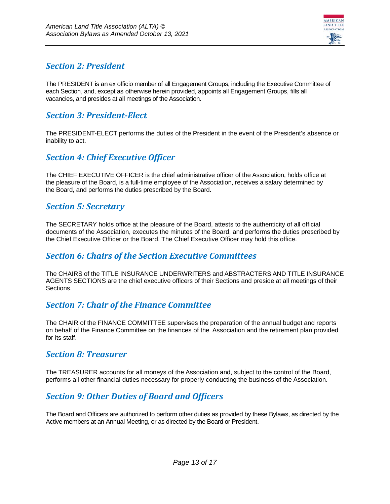

#### <span id="page-12-0"></span>*Section 2: President*

The PRESIDENT is an ex officio member of all Engagement Groups, including the Executive Committee of each Section, and, except as otherwise herein provided, appoints all Engagement Groups, fills all vacancies, and presides at all meetings of the Association.

#### <span id="page-12-1"></span>*Section 3: President-Elect*

The PRESIDENT-ELECT performs the duties of the President in the event of the President's absence or inability to act.

#### <span id="page-12-2"></span>*Section 4: Chief Executive Officer*

The CHIEF EXECUTIVE OFFICER is the chief administrative officer of the Association, holds office at the pleasure of the Board, is a full-time employee of the Association, receives a salary determined by the Board, and performs the duties prescribed by the Board.

#### <span id="page-12-3"></span>*Section 5: Secretary*

The SECRETARY holds office at the pleasure of the Board, attests to the authenticity of all official documents of the Association, executes the minutes of the Board, and performs the duties prescribed by the Chief Executive Officer or the Board. The Chief Executive Officer may hold this office.

#### <span id="page-12-4"></span>*Section 6: Chairs of the Section Executive Committees*

The CHAIRS of the TITLE INSURANCE UNDERWRITERS and ABSTRACTERS AND TITLE INSURANCE AGENTS SECTIONS are the chief executive officers of their Sections and preside at all meetings of their Sections.

#### <span id="page-12-5"></span>*Section 7: Chair of the Finance Committee*

The CHAIR of the FINANCE COMMITTEE supervises the preparation of the annual budget and reports on behalf of the Finance Committee on the finances of the Association and the retirement plan provided for its staff.

#### <span id="page-12-6"></span>*Section 8: Treasurer*

The TREASURER accounts for all moneys of the Association and, subject to the control of the Board, performs all other financial duties necessary for properly conducting the business of the Association.

### <span id="page-12-7"></span>*Section 9: Other Duties of Board and Officers*

The Board and Officers are authorized to perform other duties as provided by these Bylaws, as directed by the Active members at an Annual Meeting, or as directed by the Board or President.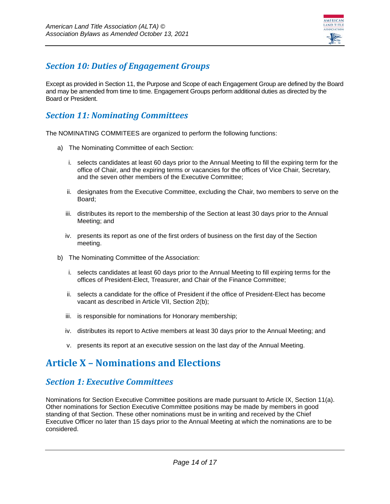

### <span id="page-13-0"></span>*Section 10: Duties of Engagement Groups*

Except as provided in Section 11, the Purpose and Scope of each Engagement Group are defined by the Board and may be amended from time to time. Engagement Groups perform additional duties as directed by the Board or President.

#### <span id="page-13-1"></span>*Section 11: Nominating Committees*

The NOMINATING COMMITEES are organized to perform the following functions:

- a) The Nominating Committee of each Section:
	- i. selects candidates at least 60 days prior to the Annual Meeting to fill the expiring term for the office of Chair, and the expiring terms or vacancies for the offices of Vice Chair, Secretary, and the seven other members of the Executive Committee;
	- ii. designates from the Executive Committee, excluding the Chair, two members to serve on the Board;
	- iii. distributes its report to the membership of the Section at least 30 days prior to the Annual Meeting; and
	- iv. presents its report as one of the first orders of business on the first day of the Section meeting.
- b) The Nominating Committee of the Association:
	- i. selects candidates at least 60 days prior to the Annual Meeting to fill expiring terms for the offices of President-Elect, Treasurer, and Chair of the Finance Committee;
	- ii. selects a candidate for the office of President if the office of President-Elect has become vacant as described in Article VII, Section 2(b);
	- iii. is responsible for nominations for Honorary membership;
	- iv. distributes its report to Active members at least 30 days prior to the Annual Meeting; and
	- v. presents its report at an executive session on the last day of the Annual Meeting.

# <span id="page-13-2"></span>**Article X – Nominations and Elections**

#### <span id="page-13-3"></span>*Section 1: Executive Committees*

Nominations for Section Executive Committee positions are made pursuant to Article IX, Section 11(a). Other nominations for Section Executive Committee positions may be made by members in good standing of that Section. These other nominations must be in writing and received by the Chief Executive Officer no later than 15 days prior to the Annual Meeting at which the nominations are to be considered.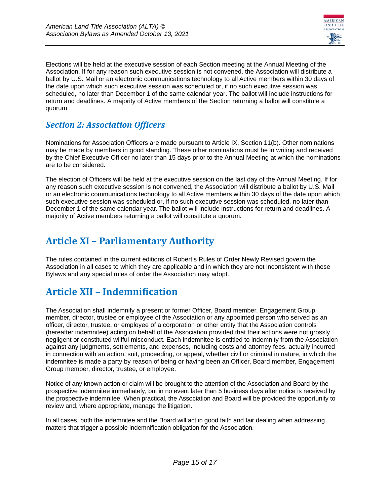

Elections will be held at the executive session of each Section meeting at the Annual Meeting of the Association. If for any reason such executive session is not convened, the Association will distribute a ballot by U.S. Mail or an electronic communications technology to all Active members within 30 days of the date upon which such executive session was scheduled or, if no such executive session was scheduled, no later than December 1 of the same calendar year. The ballot will include instructions for return and deadlines. A majority of Active members of the Section returning a ballot will constitute a quorum.

#### <span id="page-14-0"></span>*Section 2: Association Officers*

Nominations for Association Officers are made pursuant to Article IX, Section 11(b). Other nominations may be made by members in good standing. These other nominations must be in writing and received by the Chief Executive Officer no later than 15 days prior to the Annual Meeting at which the nominations are to be considered.

The election of Officers will be held at the executive session on the last day of the Annual Meeting. If for any reason such executive session is not convened, the Association will distribute a ballot by U.S. Mail or an electronic communications technology to all Active members within 30 days of the date upon which such executive session was scheduled or, if no such executive session was scheduled, no later than December 1 of the same calendar year. The ballot will include instructions for return and deadlines. A majority of Active members returning a ballot will constitute a quorum.

# <span id="page-14-1"></span>**Article XI – Parliamentary Authority**

The rules contained in the current editions of Robert's Rules of Order Newly Revised govern the Association in all cases to which they are applicable and in which they are not inconsistent with these Bylaws and any special rules of order the Association may adopt.

# <span id="page-14-2"></span>**Article XII – Indemnification**

The Association shall indemnify a present or former Officer, Board member, Engagement Group member, director, trustee or employee of the Association or any appointed person who served as an officer, director, trustee, or employee of a corporation or other entity that the Association controls (hereafter indemnitee) acting on behalf of the Association provided that their actions were not grossly negligent or constituted willful misconduct. Each indemnitee is entitled to indemnity from the Association against any judgments, settlements, and expenses, including costs and attorney fees, actually incurred in connection with an action, suit, proceeding, or appeal, whether civil or criminal in nature, in which the indemnitee is made a party by reason of being or having been an Officer, Board member, Engagement Group member, director, trustee, or employee.

Notice of any known action or claim will be brought to the attention of the Association and Board by the prospective indemnitee immediately, but in no event later than 5 business days after notice is received by the prospective indemnitee. When practical, the Association and Board will be provided the opportunity to review and, where appropriate, manage the litigation.

In all cases, both the indemnitee and the Board will act in good faith and fair dealing when addressing matters that trigger a possible indemnification obligation for the Association.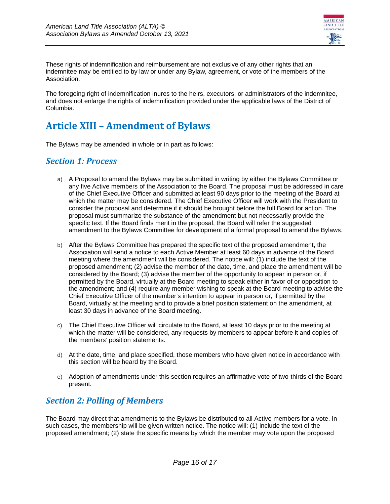

These rights of indemnification and reimbursement are not exclusive of any other rights that an indemnitee may be entitled to by law or under any Bylaw, agreement, or vote of the members of the Association.

The foregoing right of indemnification inures to the heirs, executors, or administrators of the indemnitee, and does not enlarge the rights of indemnification provided under the applicable laws of the District of Columbia.

# <span id="page-15-0"></span>**Article XIII – Amendment of Bylaws**

<span id="page-15-1"></span>The Bylaws may be amended in whole or in part as follows:

#### *Section 1: Process*

- a) A Proposal to amend the Bylaws may be submitted in writing by either the Bylaws Committee or any five Active members of the Association to the Board. The proposal must be addressed in care of the Chief Executive Officer and submitted at least 90 days prior to the meeting of the Board at which the matter may be considered. The Chief Executive Officer will work with the President to consider the proposal and determine if it should be brought before the full Board for action. The proposal must summarize the substance of the amendment but not necessarily provide the specific text. If the Board finds merit in the proposal, the Board will refer the suggested amendment to the Bylaws Committee for development of a formal proposal to amend the Bylaws.
- b) After the Bylaws Committee has prepared the specific text of the proposed amendment, the Association will send a notice to each Active Member at least 60 days in advance of the Board meeting where the amendment will be considered. The notice will: (1) include the text of the proposed amendment; (2) advise the member of the date, time, and place the amendment will be considered by the Board; (3) advise the member of the opportunity to appear in person or, if permitted by the Board, virtually at the Board meeting to speak either in favor of or opposition to the amendment; and (4) require any member wishing to speak at the Board meeting to advise the Chief Executive Officer of the member's intention to appear in person or, if permitted by the Board, virtually at the meeting and to provide a brief position statement on the amendment, at least 30 days in advance of the Board meeting.
- c) The Chief Executive Officer will circulate to the Board, at least 10 days prior to the meeting at which the matter will be considered, any requests by members to appear before it and copies of the members' position statements.
- d) At the date, time, and place specified, those members who have given notice in accordance with this section will be heard by the Board.
- e) Adoption of amendments under this section requires an affirmative vote of two-thirds of the Board present.

#### <span id="page-15-2"></span>*Section 2: Polling of Members*

The Board may direct that amendments to the Bylaws be distributed to all Active members for a vote. In such cases, the membership will be given written notice. The notice will: (1) include the text of the proposed amendment; (2) state the specific means by which the member may vote upon the proposed